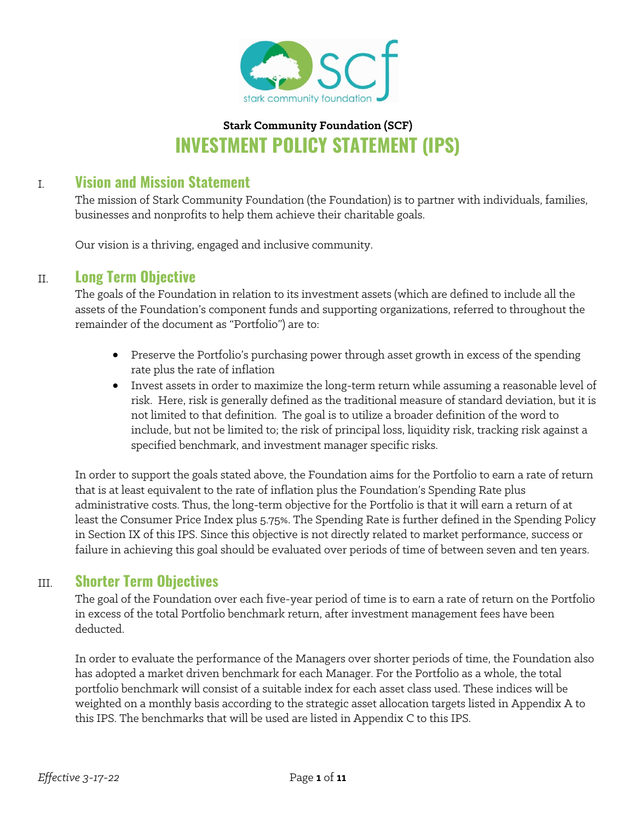

## **Stark Community Foundation (SCF) INVESTMENT POLICY STATEMENT (IPS)**

## I. **Vision and Mission Statement**

The mission of Stark Community Foundation (the Foundation) is to partner with individuals, families, businesses and nonprofits to help them achieve their charitable goals.

Our vision is a thriving, engaged and inclusive community.

### II. **Long Term Objective**

The goals of the Foundation in relation to its investment assets (which are defined to include all the assets of the Foundation's component funds and supporting organizations, referred to throughout the remainder of the document as "Portfolio") are to:

- Preserve the Portfolio's purchasing power through asset growth in excess of the spending rate plus the rate of inflation
- Invest assets in order to maximize the long-term return while assuming a reasonable level of risk. Here, risk is generally defined as the traditional measure of standard deviation, but it is not limited to that definition. The goal is to utilize a broader definition of the word to include, but not be limited to; the risk of principal loss, liquidity risk, tracking risk against a specified benchmark, and investment manager specific risks.

In order to support the goals stated above, the Foundation aims for the Portfolio to earn a rate of return that is at least equivalent to the rate of inflation plus the Foundation's Spending Rate plus administrative costs. Thus, the long-term objective for the Portfolio is that it will earn a return of at least the Consumer Price Index plus 5.75%. The Spending Rate is further defined in the Spending Policy in Section IX of this IPS. Since this objective is not directly related to market performance, success or failure in achieving this goal should be evaluated over periods of time of between seven and ten years.

### III. **Shorter Term Objectives**

The goal of the Foundation over each five-year period of time is to earn a rate of return on the Portfolio in excess of the total Portfolio benchmark return, after investment management fees have been deducted.

In order to evaluate the performance of the Managers over shorter periods of time, the Foundation also has adopted a market driven benchmark for each Manager. For the Portfolio as a whole, the total portfolio benchmark will consist of a suitable index for each asset class used. These indices will be weighted on a monthly basis according to the strategic asset allocation targets listed in Appendix A to this IPS. The benchmarks that will be used are listed in Appendix C to this IPS.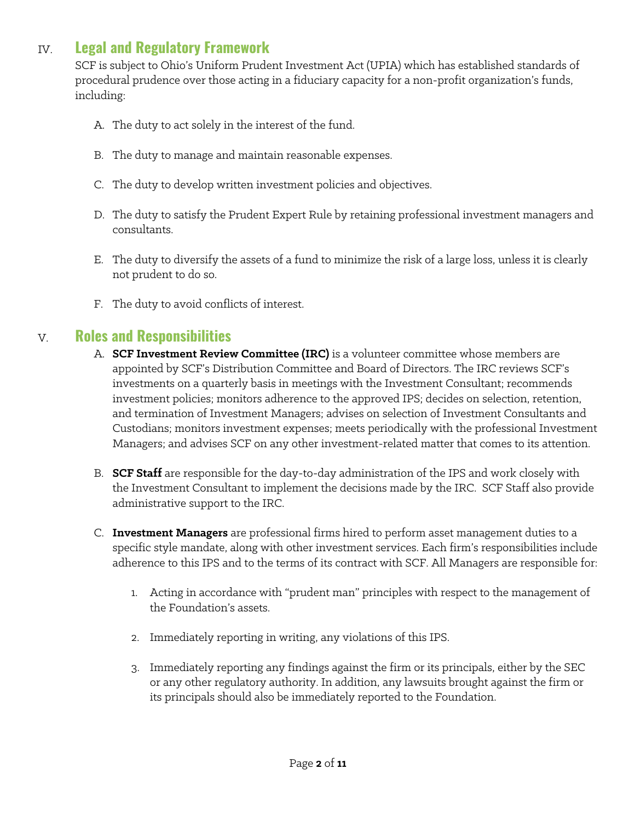## IV. **Legal and Regulatory Framework**

SCF is subject to Ohio's Uniform Prudent Investment Act (UPIA) which has established standards of procedural prudence over those acting in a fiduciary capacity for a non-profit organization's funds, including:

- A. The duty to act solely in the interest of the fund.
- B. The duty to manage and maintain reasonable expenses.
- C. The duty to develop written investment policies and objectives.
- D. The duty to satisfy the Prudent Expert Rule by retaining professional investment managers and consultants.
- E. The duty to diversify the assets of a fund to minimize the risk of a large loss, unless it is clearly not prudent to do so.
- F. The duty to avoid conflicts of interest.

## V. **Roles and Responsibilities**

- A. **SCF Investment Review Committee (IRC)** is a volunteer committee whose members are appointed by SCF's Distribution Committee and Board of Directors. The IRC reviews SCF's investments on a quarterly basis in meetings with the Investment Consultant; recommends investment policies; monitors adherence to the approved IPS; decides on selection, retention, and termination of Investment Managers; advises on selection of Investment Consultants and Custodians; monitors investment expenses; meets periodically with the professional Investment Managers; and advises SCF on any other investment-related matter that comes to its attention.
- B. **SCF Staff** are responsible for the day-to-day administration of the IPS and work closely with the Investment Consultant to implement the decisions made by the IRC. SCF Staff also provide administrative support to the IRC.
- C. **Investment Managers** are professional firms hired to perform asset management duties to a specific style mandate, along with other investment services. Each firm's responsibilities include adherence to this IPS and to the terms of its contract with SCF. All Managers are responsible for:
	- 1. Acting in accordance with "prudent man" principles with respect to the management of the Foundation's assets.
	- 2. Immediately reporting in writing, any violations of this IPS.
	- 3. Immediately reporting any findings against the firm or its principals, either by the SEC or any other regulatory authority. In addition, any lawsuits brought against the firm or its principals should also be immediately reported to the Foundation.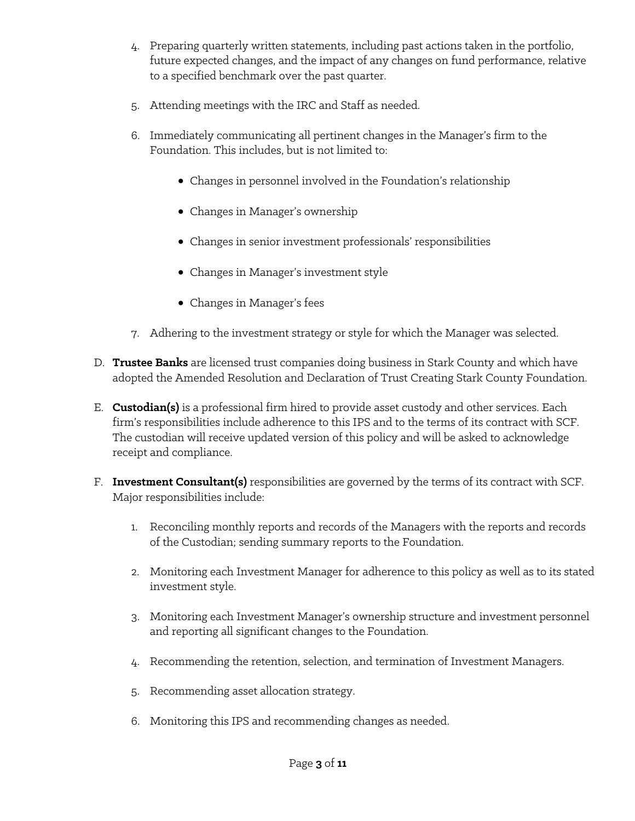- 4. Preparing quarterly written statements, including past actions taken in the portfolio, future expected changes, and the impact of any changes on fund performance, relative to a specified benchmark over the past quarter.
- 5. Attending meetings with the IRC and Staff as needed.
- 6. Immediately communicating all pertinent changes in the Manager's firm to the Foundation. This includes, but is not limited to:
	- Changes in personnel involved in the Foundation's relationship
	- Changes in Manager's ownership
	- Changes in senior investment professionals' responsibilities
	- Changes in Manager's investment style
	- Changes in Manager's fees
- 7. Adhering to the investment strategy or style for which the Manager was selected.
- D. **Trustee Banks** are licensed trust companies doing business in Stark County and which have adopted the Amended Resolution and Declaration of Trust Creating Stark County Foundation.
- E. **Custodian(s)** is a professional firm hired to provide asset custody and other services. Each firm's responsibilities include adherence to this IPS and to the terms of its contract with SCF. The custodian will receive updated version of this policy and will be asked to acknowledge receipt and compliance.
- F. **Investment Consultant(s)** responsibilities are governed by the terms of its contract with SCF. Major responsibilities include:
	- 1. Reconciling monthly reports and records of the Managers with the reports and records of the Custodian; sending summary reports to the Foundation.
	- 2. Monitoring each Investment Manager for adherence to this policy as well as to its stated investment style.
	- 3. Monitoring each Investment Manager's ownership structure and investment personnel and reporting all significant changes to the Foundation.
	- 4. Recommending the retention, selection, and termination of Investment Managers.
	- 5. Recommending asset allocation strategy.
	- 6. Monitoring this IPS and recommending changes as needed.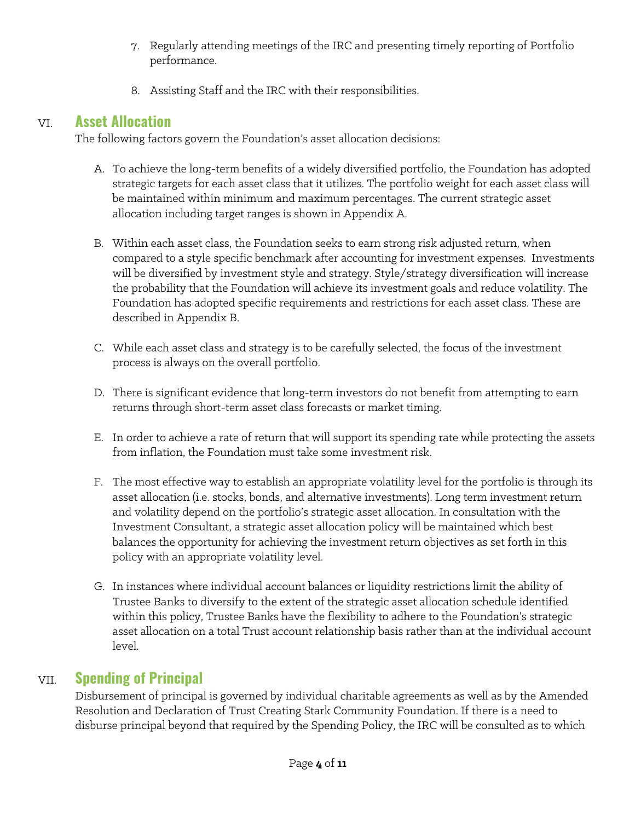- 7. Regularly attending meetings of the IRC and presenting timely reporting of Portfolio performance.
- 8. Assisting Staff and the IRC with their responsibilities.

## VI. **Asset Allocation**

The following factors govern the Foundation's asset allocation decisions:

- A. To achieve the long-term benefits of a widely diversified portfolio, the Foundation has adopted strategic targets for each asset class that it utilizes. The portfolio weight for each asset class will be maintained within minimum and maximum percentages. The current strategic asset allocation including target ranges is shown in Appendix A.
- B. Within each asset class, the Foundation seeks to earn strong risk adjusted return, when compared to a style specific benchmark after accounting for investment expenses. Investments will be diversified by investment style and strategy. Style/strategy diversification will increase the probability that the Foundation will achieve its investment goals and reduce volatility. The Foundation has adopted specific requirements and restrictions for each asset class. These are described in Appendix B.
- C. While each asset class and strategy is to be carefully selected, the focus of the investment process is always on the overall portfolio.
- D. There is significant evidence that long-term investors do not benefit from attempting to earn returns through short-term asset class forecasts or market timing.
- E. In order to achieve a rate of return that will support its spending rate while protecting the assets from inflation, the Foundation must take some investment risk.
- F. The most effective way to establish an appropriate volatility level for the portfolio is through its asset allocation (i.e. stocks, bonds, and alternative investments). Long term investment return and volatility depend on the portfolio's strategic asset allocation. In consultation with the Investment Consultant, a strategic asset allocation policy will be maintained which best balances the opportunity for achieving the investment return objectives as set forth in this policy with an appropriate volatility level.
- G. In instances where individual account balances or liquidity restrictions limit the ability of Trustee Banks to diversify to the extent of the strategic asset allocation schedule identified within this policy, Trustee Banks have the flexibility to adhere to the Foundation's strategic asset allocation on a total Trust account relationship basis rather than at the individual account level.

## VII. **Spending of Principal**

Disbursement of principal is governed by individual charitable agreements as well as by the Amended Resolution and Declaration of Trust Creating Stark Community Foundation. If there is a need to disburse principal beyond that required by the Spending Policy, the IRC will be consulted as to which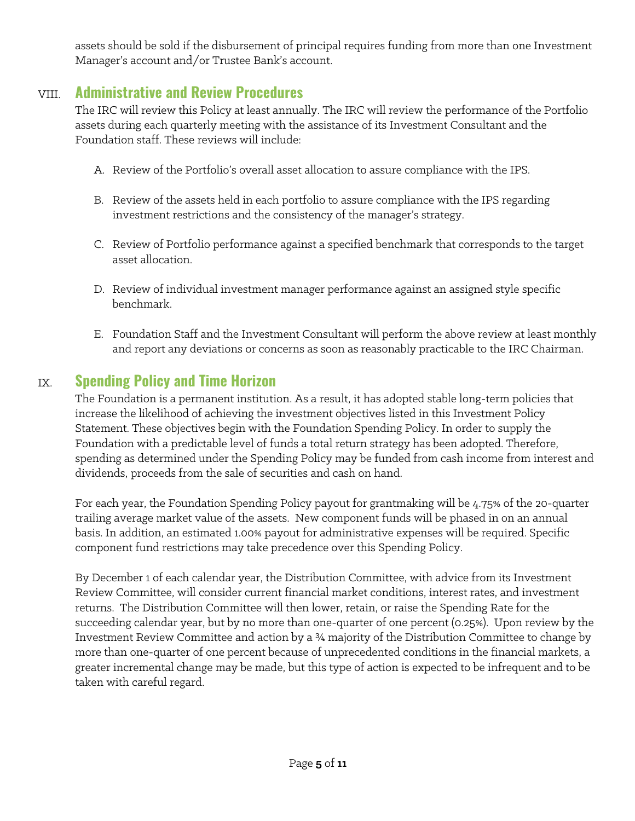assets should be sold if the disbursement of principal requires funding from more than one Investment Manager's account and/or Trustee Bank's account.

## VIII. **Administrative and Review Procedures**

The IRC will review this Policy at least annually. The IRC will review the performance of the Portfolio assets during each quarterly meeting with the assistance of its Investment Consultant and the Foundation staff. These reviews will include:

- A. Review of the Portfolio's overall asset allocation to assure compliance with the IPS.
- B. Review of the assets held in each portfolio to assure compliance with the IPS regarding investment restrictions and the consistency of the manager's strategy.
- C. Review of Portfolio performance against a specified benchmark that corresponds to the target asset allocation.
- D. Review of individual investment manager performance against an assigned style specific benchmark.
- E. Foundation Staff and the Investment Consultant will perform the above review at least monthly and report any deviations or concerns as soon as reasonably practicable to the IRC Chairman.

## IX. **Spending Policy and Time Horizon**

The Foundation is a permanent institution. As a result, it has adopted stable long-term policies that increase the likelihood of achieving the investment objectives listed in this Investment Policy Statement. These objectives begin with the Foundation Spending Policy. In order to supply the Foundation with a predictable level of funds a total return strategy has been adopted. Therefore, spending as determined under the Spending Policy may be funded from cash income from interest and dividends, proceeds from the sale of securities and cash on hand.

For each year, the Foundation Spending Policy payout for grantmaking will be 4.75% of the 20-quarter trailing average market value of the assets. New component funds will be phased in on an annual basis. In addition, an estimated 1.00% payout for administrative expenses will be required. Specific component fund restrictions may take precedence over this Spending Policy.

By December 1 of each calendar year, the Distribution Committee, with advice from its Investment Review Committee, will consider current financial market conditions, interest rates, and investment returns. The Distribution Committee will then lower, retain, or raise the Spending Rate for the succeeding calendar year, but by no more than one-quarter of one percent (0.25%). Upon review by the Investment Review Committee and action by a ¾ majority of the Distribution Committee to change by more than one-quarter of one percent because of unprecedented conditions in the financial markets, a greater incremental change may be made, but this type of action is expected to be infrequent and to be taken with careful regard.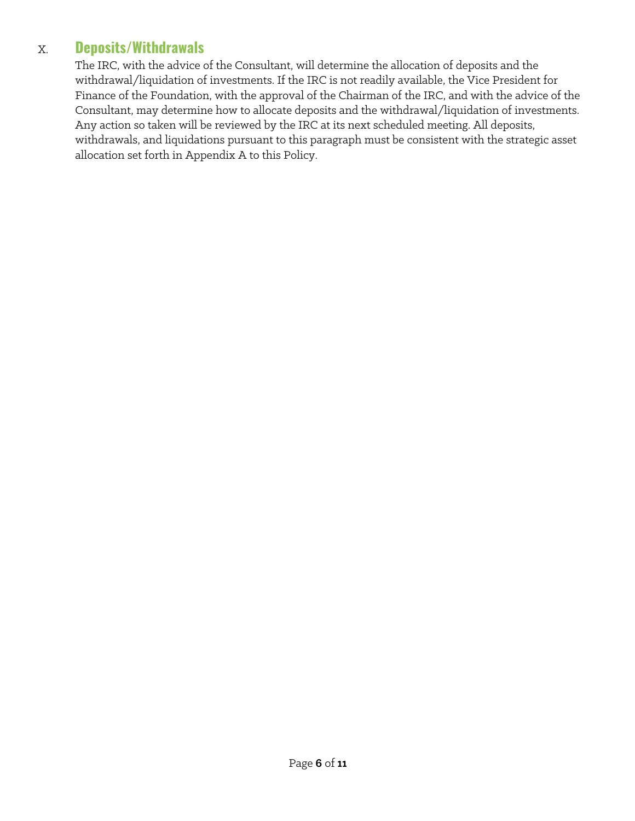## X. **Deposits/Withdrawals**

The IRC, with the advice of the Consultant, will determine the allocation of deposits and the withdrawal/liquidation of investments. If the IRC is not readily available, the Vice President for Finance of the Foundation, with the approval of the Chairman of the IRC, and with the advice of the Consultant, may determine how to allocate deposits and the withdrawal/liquidation of investments. Any action so taken will be reviewed by the IRC at its next scheduled meeting. All deposits, withdrawals, and liquidations pursuant to this paragraph must be consistent with the strategic asset allocation set forth in Appendix A to this Policy.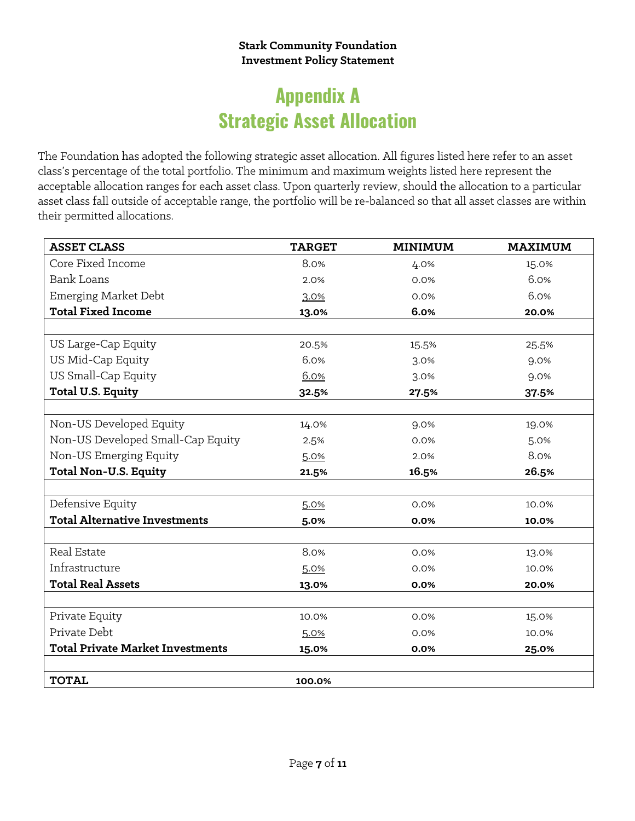#### **Stark Community Foundation Investment Policy Statement**

# **Appendix A Strategic Asset Allocation**

The Foundation has adopted the following strategic asset allocation. All figures listed here refer to an asset class's percentage of the total portfolio. The minimum and maximum weights listed here represent the acceptable allocation ranges for each asset class. Upon quarterly review, should the allocation to a particular asset class fall outside of acceptable range, the portfolio will be re-balanced so that all asset classes are within their permitted allocations.

| <b>ASSET CLASS</b>                      | <b>TARGET</b> | <b>MINIMUM</b> | <b>MAXIMUM</b> |
|-----------------------------------------|---------------|----------------|----------------|
| Core Fixed Income                       | 8.0%          | 4.0%           | 15.0%          |
| <b>Bank Loans</b>                       | 2.0%          | 0.0%           | 6.0%           |
| Emerging Market Debt                    | 3.0%          | 0.0%           | 6.0%           |
| <b>Total Fixed Income</b>               | 13.0%         | 6.0%           | 20.0%          |
|                                         |               |                |                |
| US Large-Cap Equity                     | 20.5%         | 15.5%          | 25.5%          |
| US Mid-Cap Equity                       | 6.0%          | 3.0%           | 9.0%           |
| US Small-Cap Equity                     | 6.0%          | 3.0%           | 9.0%           |
| <b>Total U.S. Equity</b>                | 32.5%         | 27.5%          | 37.5%          |
|                                         |               |                |                |
| Non-US Developed Equity                 | 14.0%         | 9.0%           | 19.0%          |
| Non-US Developed Small-Cap Equity       | 2.5%          | 0.0%           | 5.0%           |
| Non-US Emerging Equity                  | 5.0%          | 2.0%           | 8.0%           |
| <b>Total Non-U.S. Equity</b>            | 21.5%         | 16.5%          | 26.5%          |
|                                         |               |                |                |
| Defensive Equity                        | 5.0%          | 0.0%           | 10.0%          |
| <b>Total Alternative Investments</b>    | 5.0%          | 0.0%           | 10.0%          |
|                                         |               |                |                |
| Real Estate                             | 8.0%          | 0.0%           | 13.0%          |
| Infrastructure                          | 5.0%          | 0.0%           | 10.0%          |
| <b>Total Real Assets</b>                | 13.0%         | 0.0%           | 20.0%          |
|                                         |               |                |                |
| Private Equity                          | 10.0%         | 0.0%           | 15.0%          |
| Private Debt                            | 5.0%          | 0.0%           | 10.0%          |
| <b>Total Private Market Investments</b> | 15.0%         | 0.0%           | 25.0%          |
|                                         |               |                |                |
| <b>TOTAL</b>                            | 100.0%        |                |                |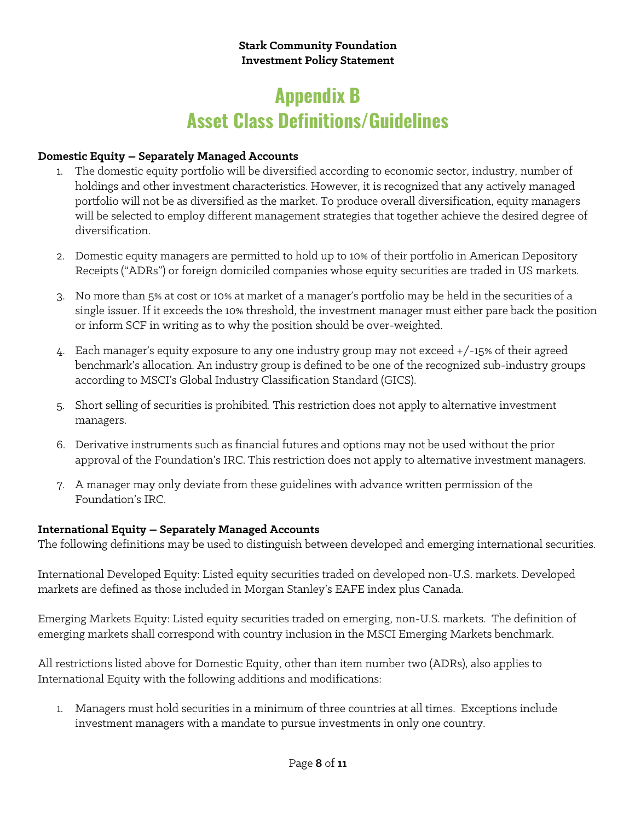# **Appendix B Asset Class Definitions/Guidelines**

#### **Domestic Equity – Separately Managed Accounts**

- 1. The domestic equity portfolio will be diversified according to economic sector, industry, number of holdings and other investment characteristics. However, it is recognized that any actively managed portfolio will not be as diversified as the market. To produce overall diversification, equity managers will be selected to employ different management strategies that together achieve the desired degree of diversification.
- 2. Domestic equity managers are permitted to hold up to 10% of their portfolio in American Depository Receipts ("ADRs") or foreign domiciled companies whose equity securities are traded in US markets.
- 3. No more than 5% at cost or 10% at market of a manager's portfolio may be held in the securities of a single issuer. If it exceeds the 10% threshold, the investment manager must either pare back the position or inform SCF in writing as to why the position should be over-weighted.
- 4. Each manager's equity exposure to any one industry group may not exceed +/-15% of their agreed benchmark's allocation. An industry group is defined to be one of the recognized sub-industry groups according to MSCI's Global Industry Classification Standard (GICS).
- 5. Short selling of securities is prohibited. This restriction does not apply to alternative investment managers.
- 6. Derivative instruments such as financial futures and options may not be used without the prior approval of the Foundation's IRC. This restriction does not apply to alternative investment managers.
- 7. A manager may only deviate from these guidelines with advance written permission of the Foundation's IRC.

#### **International Equity – Separately Managed Accounts**

The following definitions may be used to distinguish between developed and emerging international securities.

International Developed Equity: Listed equity securities traded on developed non-U.S. markets. Developed markets are defined as those included in Morgan Stanley's EAFE index plus Canada.

Emerging Markets Equity: Listed equity securities traded on emerging, non-U.S. markets. The definition of emerging markets shall correspond with country inclusion in the MSCI Emerging Markets benchmark.

All restrictions listed above for Domestic Equity, other than item number two (ADRs), also applies to International Equity with the following additions and modifications:

1. Managers must hold securities in a minimum of three countries at all times. Exceptions include investment managers with a mandate to pursue investments in only one country.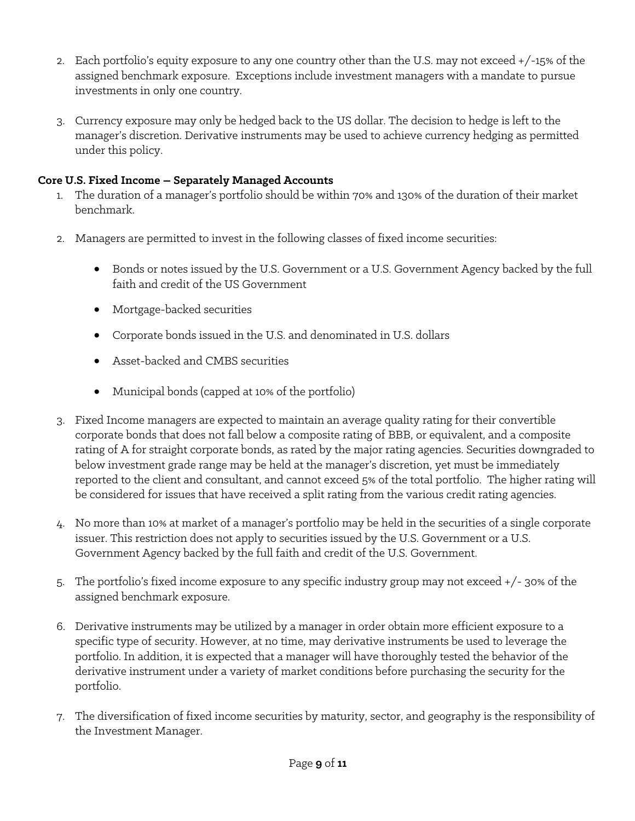- 2. Each portfolio's equity exposure to any one country other than the U.S. may not exceed +/-15% of the assigned benchmark exposure. Exceptions include investment managers with a mandate to pursue investments in only one country.
- 3. Currency exposure may only be hedged back to the US dollar. The decision to hedge is left to the manager's discretion. Derivative instruments may be used to achieve currency hedging as permitted under this policy.

#### **Core U.S. Fixed Income – Separately Managed Accounts**

- 1. The duration of a manager's portfolio should be within 70% and 130% of the duration of their market benchmark.
- 2. Managers are permitted to invest in the following classes of fixed income securities:
	- Bonds or notes issued by the U.S. Government or a U.S. Government Agency backed by the full faith and credit of the US Government
	- Mortgage-backed securities
	- Corporate bonds issued in the U.S. and denominated in U.S. dollars
	- Asset-backed and CMBS securities
	- Municipal bonds (capped at 10% of the portfolio)
- 3. Fixed Income managers are expected to maintain an average quality rating for their convertible corporate bonds that does not fall below a composite rating of BBB, or equivalent, and a composite rating of A for straight corporate bonds, as rated by the major rating agencies. Securities downgraded to below investment grade range may be held at the manager's discretion, yet must be immediately reported to the client and consultant, and cannot exceed 5% of the total portfolio. The higher rating will be considered for issues that have received a split rating from the various credit rating agencies.
- 4. No more than 10% at market of a manager's portfolio may be held in the securities of a single corporate issuer. This restriction does not apply to securities issued by the U.S. Government or a U.S. Government Agency backed by the full faith and credit of the U.S. Government.
- 5. The portfolio's fixed income exposure to any specific industry group may not exceed +/- 30% of the assigned benchmark exposure.
- 6. Derivative instruments may be utilized by a manager in order obtain more efficient exposure to a specific type of security. However, at no time, may derivative instruments be used to leverage the portfolio. In addition, it is expected that a manager will have thoroughly tested the behavior of the derivative instrument under a variety of market conditions before purchasing the security for the portfolio.
- 7. The diversification of fixed income securities by maturity, sector, and geography is the responsibility of the Investment Manager.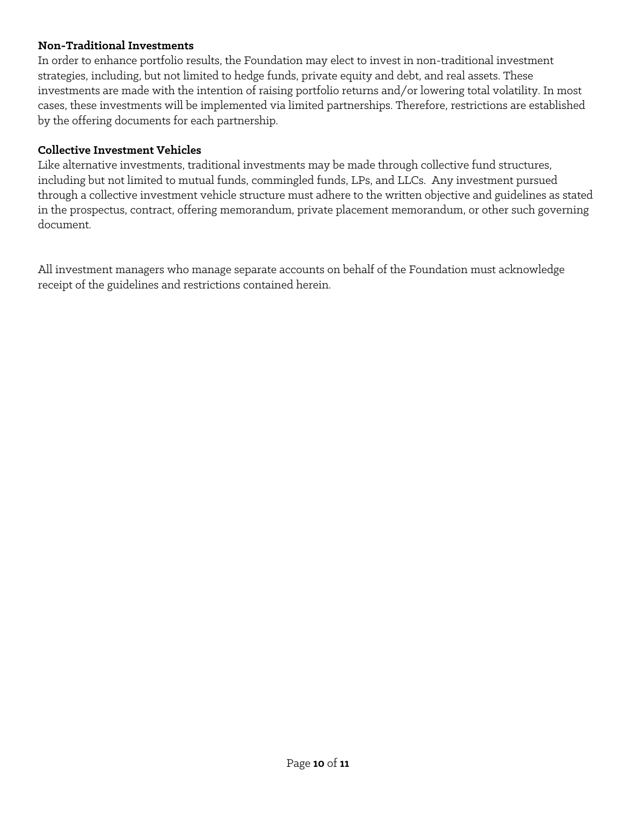#### **Non-Traditional Investments**

In order to enhance portfolio results, the Foundation may elect to invest in non-traditional investment strategies, including, but not limited to hedge funds, private equity and debt, and real assets. These investments are made with the intention of raising portfolio returns and/or lowering total volatility. In most cases, these investments will be implemented via limited partnerships. Therefore, restrictions are established by the offering documents for each partnership.

#### **Collective Investment Vehicles**

Like alternative investments, traditional investments may be made through collective fund structures, including but not limited to mutual funds, commingled funds, LPs, and LLCs. Any investment pursued through a collective investment vehicle structure must adhere to the written objective and guidelines as stated in the prospectus, contract, offering memorandum, private placement memorandum, or other such governing document.

All investment managers who manage separate accounts on behalf of the Foundation must acknowledge receipt of the guidelines and restrictions contained herein.